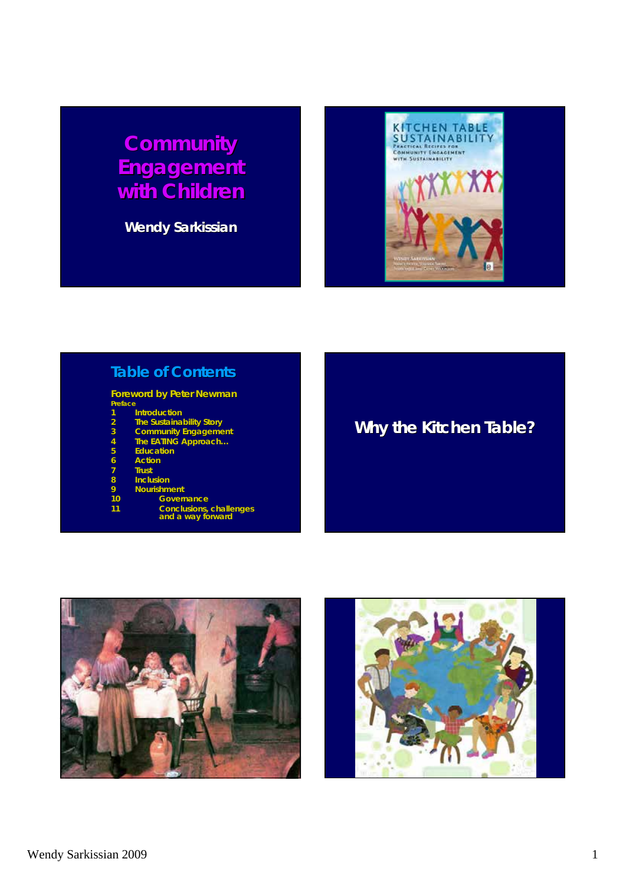## *Community Community Engagement Engagement with Children with Children*

**Wendy Sarkissian**



#### **Table of Contents**

#### **Foreword by Peter Newman**

| Preface |                     |
|---------|---------------------|
|         | <b>Introduction</b> |

- **2 The Sustainability Story**
- **3 Community Engagement Community Engagement**
- **4 The** *EATING* **Approach…**
- **5 Education**
- **6 Action**
- **7 Trust**
- 
- 8 **Inclusion**<br>9 Nourishm<br>10 Go<br>11 Co **9 Nourishment Nourishment**
- **10 Governance**
- 11 **11 Conclusions, challenges conclusions** and a way forward
	-

## **Why the Kitchen Table? Why the Kitchen Table?**



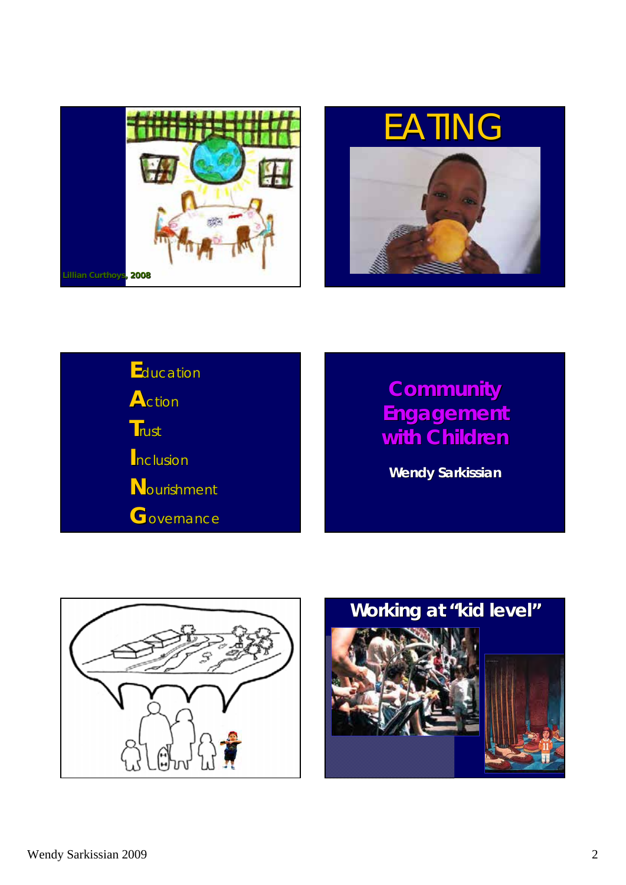





## *Community Community Engagement Engagement with Children with Children*

**Wendy Sarkissian**



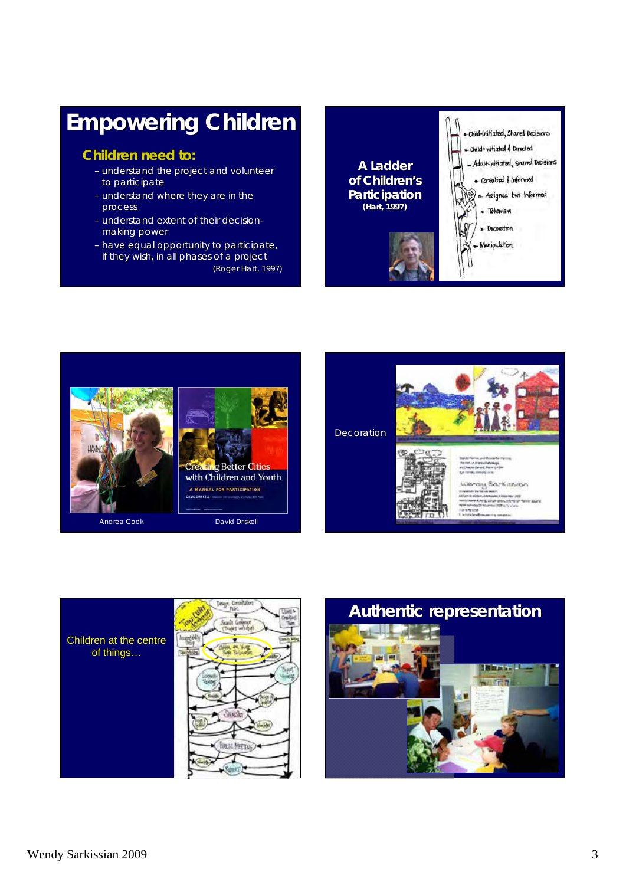## **Empowering Children Empowering Children**

#### **Children need to: Children need to:**

- understand the project and volunteer to participate
- understand where they are in the process process
- understand extent of their decisionmaking power
- have equal opportunity to participate, if they wish, in all phases of a project (Roger Hart, 1997)









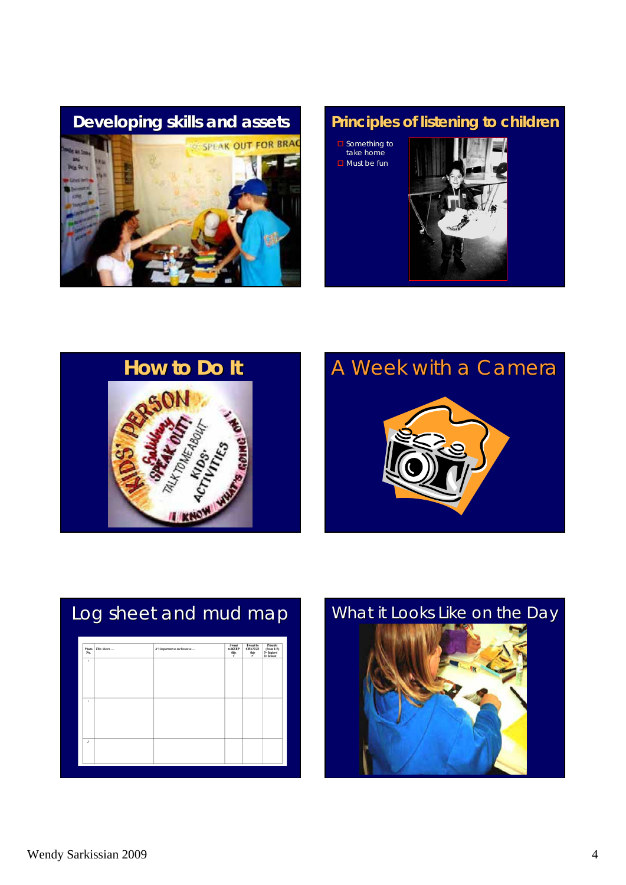

 $\square$  Something to take home  $\square$  Must be fun





## **How to Do It**<br>A Week with a Camera



| Photo<br>$N_{\rm B}$   | This shows | It's important to me because | Iwant<br>to KEEP<br>÷ | I want to<br><b>CHANGE</b><br>÷ | <b>Princity</b><br>(from $1-5$ )<br>5– highest<br>1– lowest |
|------------------------|------------|------------------------------|-----------------------|---------------------------------|-------------------------------------------------------------|
| ٠                      |            |                              |                       |                                 |                                                             |
|                        |            |                              |                       |                                 |                                                             |
|                        |            |                              |                       |                                 |                                                             |
| $\,$                   |            |                              |                       |                                 |                                                             |
|                        |            |                              |                       |                                 |                                                             |
|                        |            |                              |                       |                                 |                                                             |
|                        |            |                              |                       |                                 |                                                             |
| $\boldsymbol{\lambda}$ |            |                              |                       |                                 |                                                             |
|                        |            |                              |                       |                                 |                                                             |

# Log sheet and mud map **Lang What it Looks Like on the Day**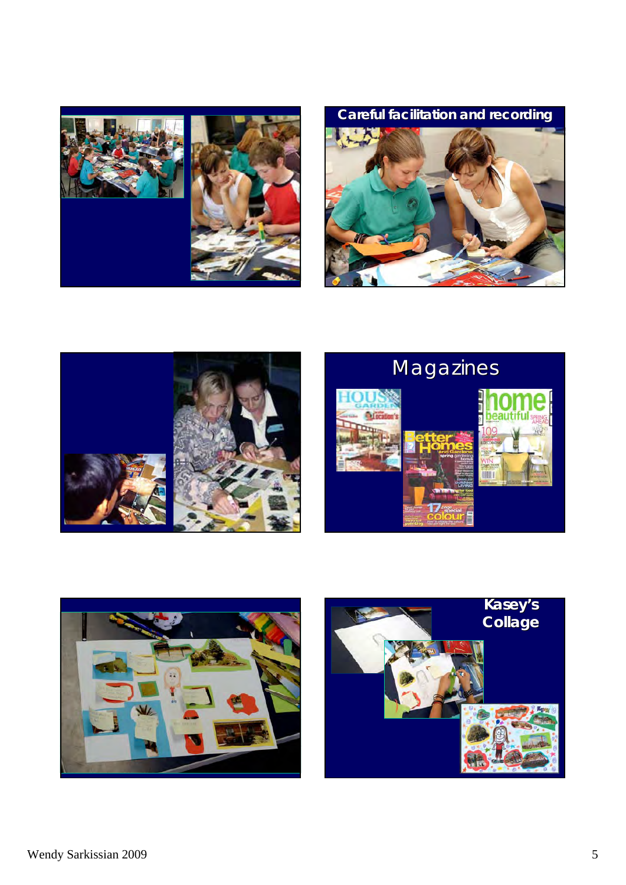

**Careful facilitation and recording**





# Magazines





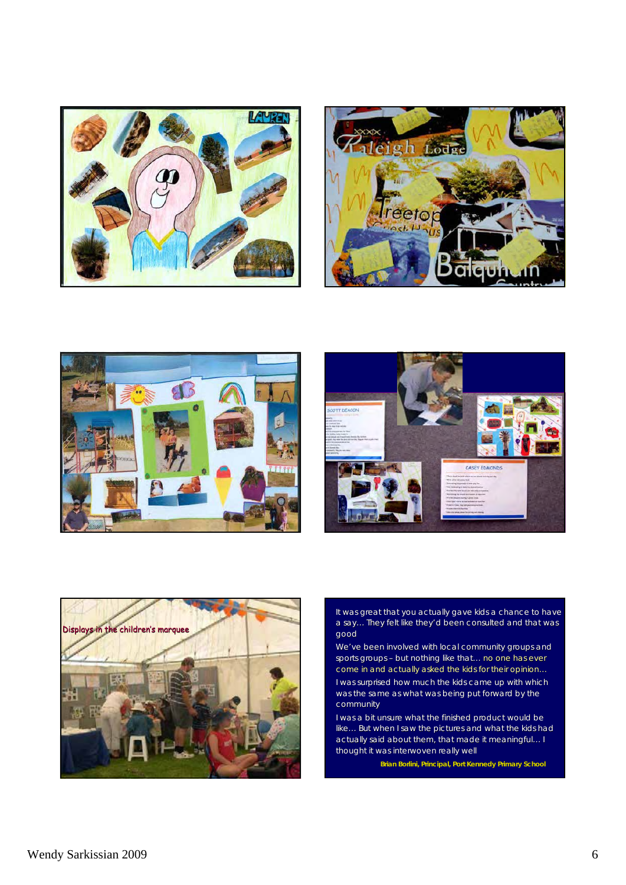









*It was great that you actually gave kids a chance to have* a say... They felt like they'd been consulted and that was *good* 

*We've been involved with local community groups and* sports groups - but nothing like that... no one has ever *come in and actually asked the kids for their opinion..* 

*I was surprised how much the kids came up with which I was surprised how much the kids came up with which*  was the same as what was being put forward by the *community community* 

*I was a bit unsure what the finished product would be like...* But when I saw the pictures and what the kids had *actually said about them, that made it meaningful actually said about them, that made it meaningful… I thought it was interwoven really well thought it was interwoven really well* 

**Brian Borlini, Principal, Port Kennedy Primary School Kennedy Primary**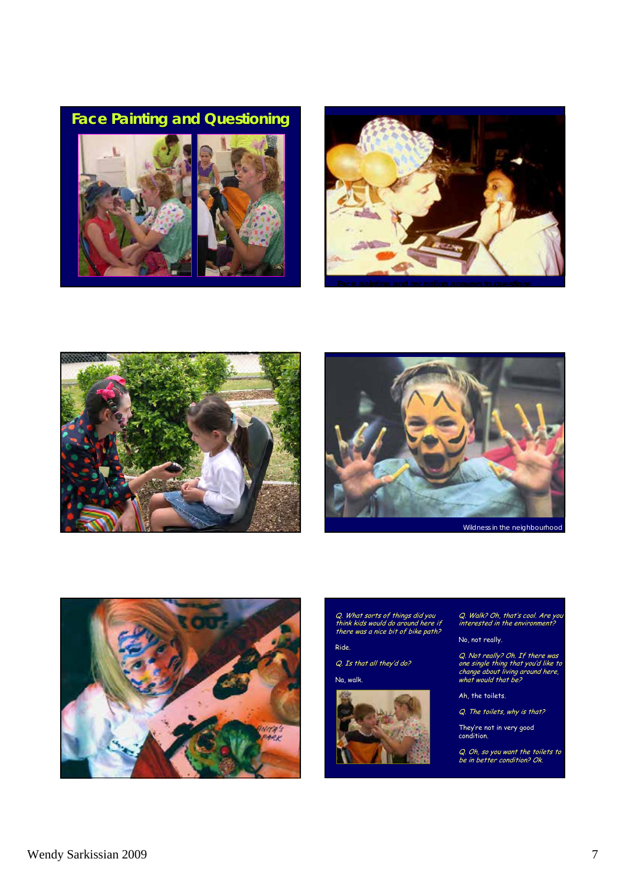#### **Face Painting and Questioning**









Wildness in the neighbourhood



Q. What sorts of things did you think kids would do around here if there was a nice bit of bike path?

Ride.

Q. Is that all they'd do?

Na, walk.



Q. Walk? Oh, that's cool. Are you interested in the environment?

No, not really.

Q. Not really? Oh. If there was one single thing that you'd like to change about living around here, what would that be?

Ah, the toilets.

Q. The toilets, why is that?

They're not in very good condition. condition.

Q. Oh, so you want the toilets to<br>be in better condition? Ok.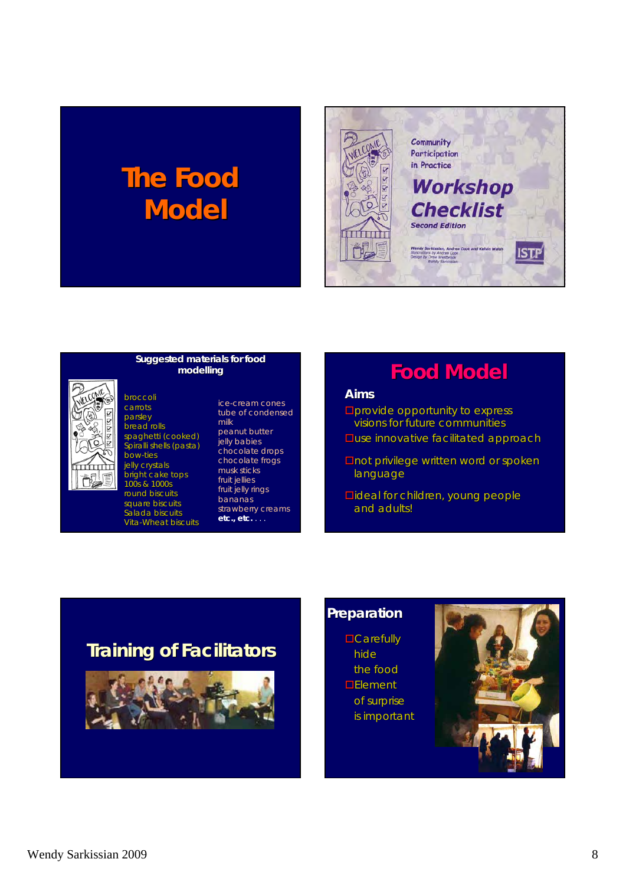# **The Food Model**





broccoli broccoli carrots parsley bread rolls spaghetti (cooked) Spiralli shells (pasta) bow-ties jelly crystals bright cake tops 100s & 1000s round biscuits square biscuits Salada biscuits Vita-Wheat biscuits

#### **Suggested materials for food modelling**

ice-cream cones tube of condensed milk peanut butter jelly babies chocolate drops chocolate frogs musk sticks fruit jellies fruit jelly rings bananas strawberry creams **etc., etc.** . . .

## **Food Model Food Model**

#### *Aims*

- $\square$ provide opportunity to express visions for future communities
- $\square$ use innovative facilitated approach
- **Dnot privilege written word or spoken** language
- **Dideal for children, young people** and adults!

### **Training of Facilitators**



#### **Preparation**

 $\Box$ Carefully hide the food  $E$ lement of surprise is important

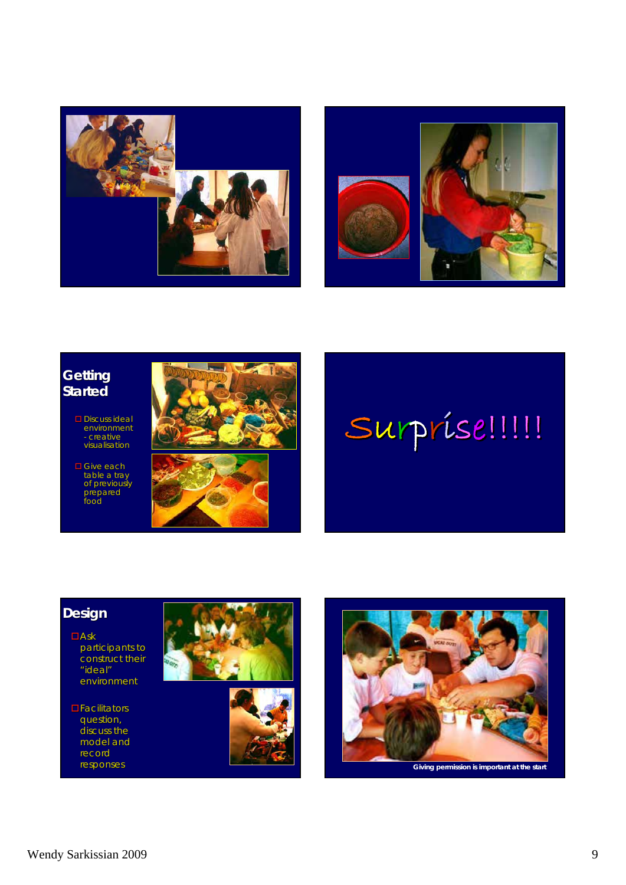



#### **Getting Getting Started**

- Discuss ideal environment - creative visualisation
- □ Give each table a tray of previously prepared food





#### **Design**

- $\Box$ Ask participants to participants to construct their "ideal" environment
- $\Box$ Facilitators question, question, discuss the model and model record<br>responses







**Giving permission is important at the start**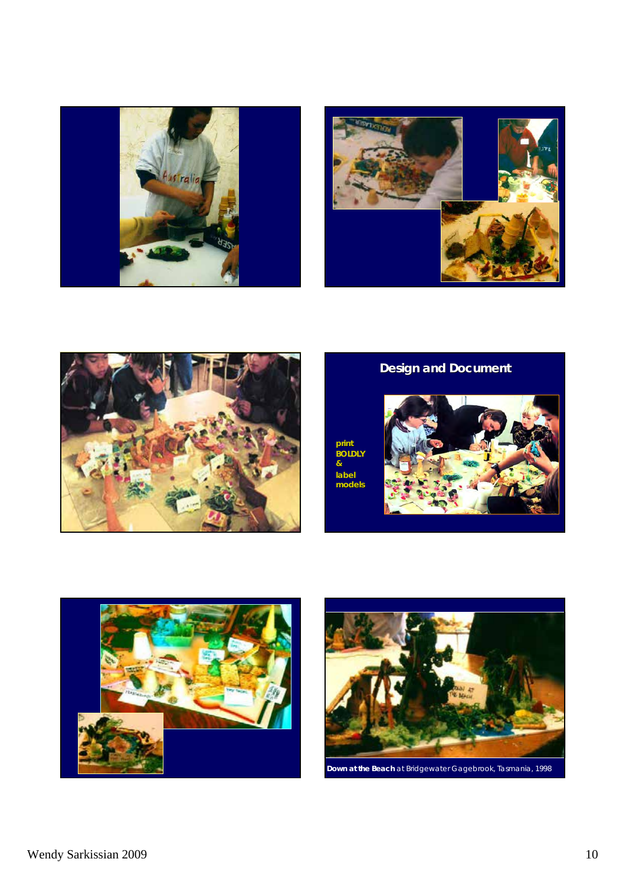





## **Design and Document Design and Document**

**print BOLDLY & label models**







*Down at the Beach* at Bridgewater Gagebrook, Tasmania, 1998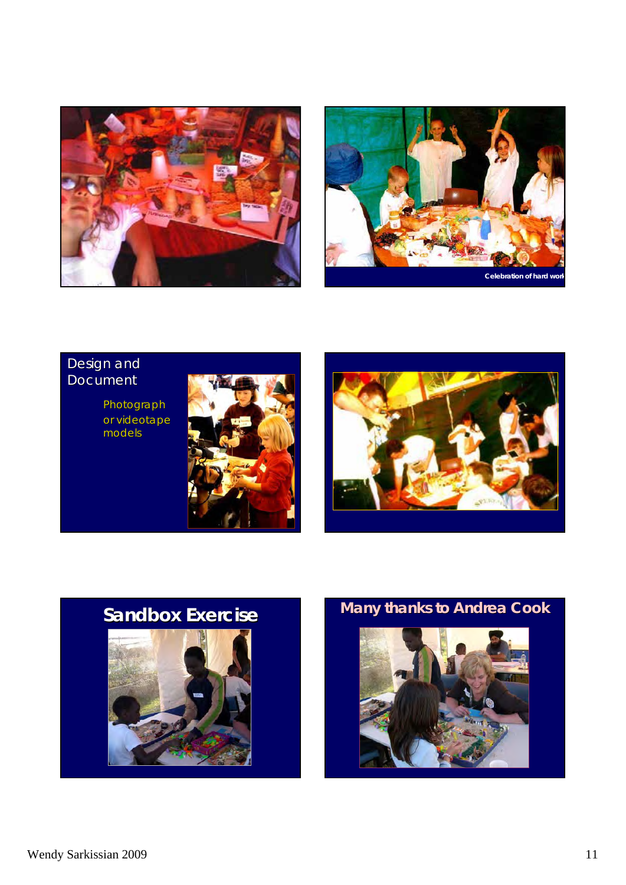



#### Design and **Document**

Photograph or videotape models







**Sandbox Exercise Many thanks to Andrea Cook**